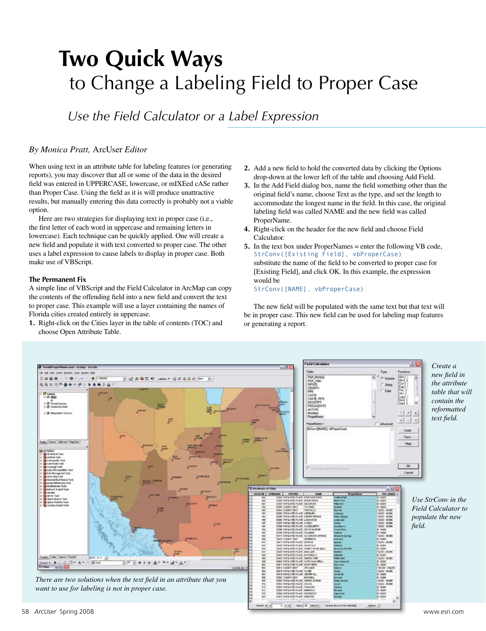## **Two Quick Ways** to Change a Labeling Field to Proper Case

*Use the Field Calculator or a Label Expression*

## *By Monica Pratt,* ArcUser *Editor*

When using text in an attribute table for labeling features (or generating reports), you may discover that all or some of the data in the desired field was entered in UPPERCASE, lowercase, or mIXEed cASe rather than Proper Case. Using the field as it is will produce unattractive results, but manually entering this data correctly is probably not a viable option.

Here are two strategies for displaying text in proper case (i.e., the first letter of each word in uppercase and remaining letters in lowercase). Each technique can be quickly applied. One will create a new field and populate it with text converted to proper case. The other uses a label expression to cause labels to display in proper case. Both make use of VBScript.

## **The Permanent Fix**

A simple line of VBScript and the Field Calculator in ArcMap can copy the contents of the offending field into a new field and convert the text to proper case. This example will use a layer containing the names of Florida cities created entirely in uppercase.

**1.** Right-click on the Cities layer in the table of contents (TOC) and choose Open Attribute Table.

- **2.** Add a new field to hold the converted data by clicking the Options drop-down at the lower left of the table and choosing Add Field.
- **3.** In the Add Field dialog box, name the field something other than the original field's name, choose Text as the type, and set the length to accommodate the longest name in the field. In this case, the original labeling field was called NAME and the new field was called ProperName.
- **4.** Right-click on the header for the new field and choose Field Calculator.
- **5.** In the text box under ProperNames = enter the following VB code, StrConv([Existing Field], vbProperCase) substitute the name of the field to be converted to proper case for [Existing Field], and click OK. In this example, the expression would be

StrConv([NAME], vbProperCase)

The new field will be populated with the same text but that text will be in proper case. This new field can be used for labeling map features or generating a report.